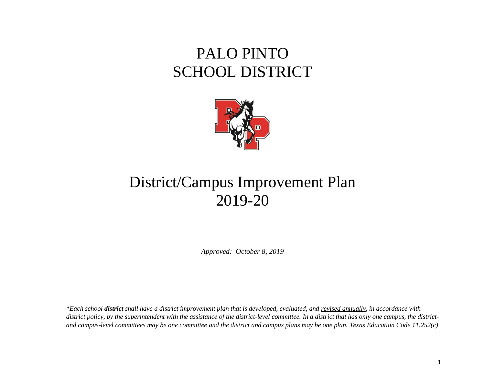# PALO PINTO SCHOOL DISTRICT



# District/Campus Improvement Plan 2019-20

*Approved: October 8, 2019*

*\*Each school district shall have a district improvement plan that is developed, evaluated, and revised annually, in accordance with district policy, by the superintendent with the assistance of the district-level committee. In a district that has only one campus, the districtand campus-level committees may be one committee and the district and campus plans may be one plan. Texas Education Code 11.252(c)*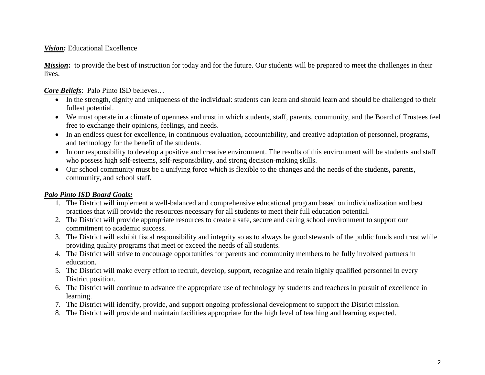#### **Vision:** Educational Excellence

*Mission*: to provide the best of instruction for today and for the future. Our students will be prepared to meet the challenges in their lives.

*Core Beliefs*: Palo Pinto ISD believes…

- In the strength, dignity and uniqueness of the individual: students can learn and should learn and should be challenged to their fullest potential.
- We must operate in a climate of openness and trust in which students, staff, parents, community, and the Board of Trustees feel free to exchange their opinions, feelings, and needs.
- In an endless quest for excellence, in continuous evaluation, accountability, and creative adaptation of personnel, programs, and technology for the benefit of the students.
- In our responsibility to develop a positive and creative environment. The results of this environment will be students and staff who possess high self-esteems, self-responsibility, and strong decision-making skills.
- Our school community must be a unifying force which is flexible to the changes and the needs of the students, parents, community, and school staff.

### *Palo Pinto ISD Board Goals:*

- 1. The District will implement a well-balanced and comprehensive educational program based on individualization and best practices that will provide the resources necessary for all students to meet their full education potential.
- 2. The District will provide appropriate resources to create a safe, secure and caring school environment to support our commitment to academic success.
- 3. The District will exhibit fiscal responsibility and integrity so as to always be good stewards of the public funds and trust while providing quality programs that meet or exceed the needs of all students.
- 4. The District will strive to encourage opportunities for parents and community members to be fully involved partners in education.
- 5. The District will make every effort to recruit, develop, support, recognize and retain highly qualified personnel in every District position.
- 6. The District will continue to advance the appropriate use of technology by students and teachers in pursuit of excellence in learning.
- 7. The District will identify, provide, and support ongoing professional development to support the District mission.
- 8. The District will provide and maintain facilities appropriate for the high level of teaching and learning expected.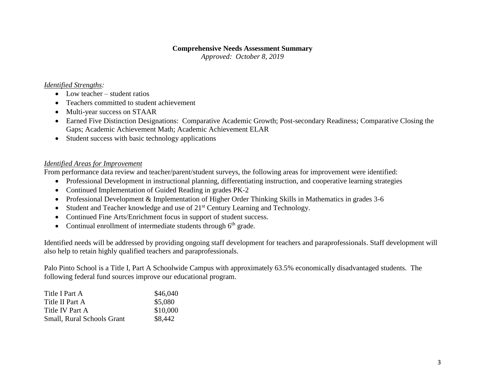#### **Comprehensive Needs Assessment Summary**

*Approved: October 8, 2019*

### *Identified Strengths:*

- Low teacher student ratios
- Teachers committed to student achievement
- Multi-year success on STAAR
- Earned Five Distinction Designations: Comparative Academic Growth; Post-secondary Readiness; Comparative Closing the Gaps; Academic Achievement Math; Academic Achievement ELAR
- Student success with basic technology applications

#### *Identified Areas for Improvement*

From performance data review and teacher/parent/student surveys, the following areas for improvement were identified:

- Professional Development in instructional planning, differentiating instruction, and cooperative learning strategies
- Continued Implementation of Guided Reading in grades PK-2
- Professional Development & Implementation of Higher Order Thinking Skills in Mathematics in grades 3-6
- $\bullet$  Student and Teacher knowledge and use of  $21<sup>st</sup>$  Century Learning and Technology.
- Continued Fine Arts/Enrichment focus in support of student success.
- Continual enrollment of intermediate students through  $6<sup>th</sup>$  grade.

Identified needs will be addressed by providing ongoing staff development for teachers and paraprofessionals. Staff development will also help to retain highly qualified teachers and paraprofessionals.

Palo Pinto School is a Title I, Part A Schoolwide Campus with approximately 63.5% economically disadvantaged students. The following federal fund sources improve our educational program.

| Title I Part A                    | \$46,040 |
|-----------------------------------|----------|
| Title II Part A                   | \$5,080  |
| Title IV Part A                   | \$10,000 |
| <b>Small, Rural Schools Grant</b> | \$8,442  |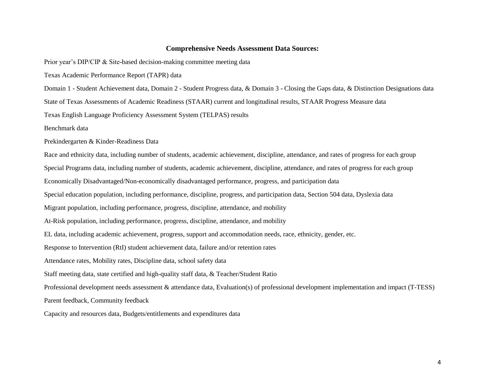#### **Comprehensive Needs Assessment Data Sources:**

Prior year's DIP/CIP & Site-based decision-making committee meeting data

Texas Academic Performance Report (TAPR) data

Domain 1 - Student Achievement data, Domain 2 - Student Progress data, & Domain 3 - Closing the Gaps data, & Distinction Designations data

State of Texas Assessments of Academic Readiness (STAAR) current and longitudinal results, STAAR Progress Measure data

Texas English Language Proficiency Assessment System (TELPAS) results

Benchmark data

Prekindergarten & Kinder-Readiness Data

Race and ethnicity data, including number of students, academic achievement, discipline, attendance, and rates of progress for each group Special Programs data, including number of students, academic achievement, discipline, attendance, and rates of progress for each group Economically Disadvantaged/Non-economically disadvantaged performance, progress, and participation data Special education population, including performance, discipline, progress, and participation data, Section 504 data, Dyslexia data Migrant population, including performance, progress, discipline, attendance, and mobility At-Risk population, including performance, progress, discipline, attendance, and mobility EL data, including academic achievement, progress, support and accommodation needs, race, ethnicity, gender, etc. Response to Intervention (RtI) student achievement data, failure and/or retention rates Attendance rates, Mobility rates, Discipline data, school safety data Staff meeting data, state certified and high-quality staff data, & Teacher/Student Ratio Professional development needs assessment & attendance data, Evaluation(s) of professional development implementation and impact (T-TESS) Parent feedback, Community feedback Capacity and resources data, Budgets/entitlements and expenditures data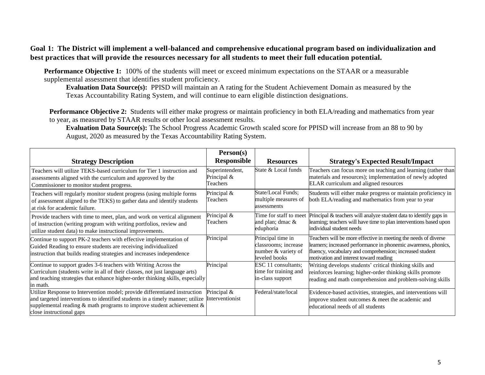#### **Goal 1: The District will implement a well-balanced and comprehensive educational program based on individualization and best practices that will provide the resources necessary for all students to meet their full education potential.**

**Performance Objective 1:** 100% of the students will meet or exceed minimum expectations on the STAAR or a measurable supplemental assessment that identifies student proficiency.

**Evaluation Data Source(s):** PPISD will maintain an A rating for the Student Achievement Domain as measured by the Texas Accountability Rating System, and will continue to earn eligible distinction designations.

**Performance Objective 2:** Students will either make progress or maintain proficiency in both ELA/reading and mathematics from year to year, as measured by STAAR results or other local assessment results.

**Evaluation Data Source(s):** The School Progress Academic Growth scaled score for PPISD will increase from an 88 to 90 by August, 2020 as measured by the Texas Accountability Rating System.

|                                                                                                                                                                                                                                                                        | Person(s)                                  |                                                                                   |                                                                                                                                                                                                                                          |
|------------------------------------------------------------------------------------------------------------------------------------------------------------------------------------------------------------------------------------------------------------------------|--------------------------------------------|-----------------------------------------------------------------------------------|------------------------------------------------------------------------------------------------------------------------------------------------------------------------------------------------------------------------------------------|
| <b>Strategy Description</b>                                                                                                                                                                                                                                            | Responsible                                | <b>Resources</b>                                                                  | <b>Strategy's Expected Result/Impact</b>                                                                                                                                                                                                 |
| Teachers will utilize TEKS-based curriculum for Tier 1 instruction and<br>assessments aligned with the curriculum and approved by the<br>Commissioner to monitor student progress.                                                                                     | Superintendent,<br>Principal &<br>Teachers | State & Local funds                                                               | Teachers can focus more on teaching and learning (rather than<br>materials and resources); implementation of newly adopted<br>ELAR curriculum and aligned resources                                                                      |
| Teachers will regularly monitor student progress (using multiple forms<br>of assessment aligned to the TEKS) to gather data and identify students<br>at risk for academic failure.                                                                                     | Principal &<br>Teachers                    | State/Local Funds;<br>multiple measures of<br>assessments                         | Students will either make progress or maintain proficiency in<br>both ELA/reading and mathematics from year to year                                                                                                                      |
| Provide teachers with time to meet, plan, and work on vertical alignment<br>of instruction (writing program with writing portfolios, review and<br>utilize student data) to make instructional improvements.                                                           | Principal &<br>Teachers                    | Time for staff to meet<br>and plan; dmac &<br>eduphoria                           | Principal & teachers will analyze student data to identify gaps in<br>learning; teachers will have time to plan interventions based upon<br>individual student needs                                                                     |
| Continue to support PK-2 teachers with effective implementation of<br>Guided Reading to ensure students are receiving individualized<br>instruction that builds reading strategies and increases independence                                                          | Principal                                  | Principal time in<br>classrooms; increase<br>number & variety of<br>leveled books | Teachers will be more effective in meeting the needs of diverse<br>learners; increased performance in phonemic awareness, phonics,<br>fluency, vocabulary and comprehension; increased student<br>motivation and interest toward reading |
| Continue to support grades 3-6 teachers with Writing Across the<br>Curriculum (students write in all of their classes, not just language arts)<br>and teaching strategies that enhance higher-order thinking skills, especially<br>in math.                            | Principal                                  | ESC 11 consultants;<br>time for training and<br>in-class support                  | Writing develops students' critical thinking skills and<br>reinforces learning; higher-order thinking skills promote<br>reading and math comprehension and problem-solving skills                                                        |
| Utilize Response to Intervention model; provide differentiated instruction<br>and targeted interventions to identified students in a timely manner; utilize<br>supplemental reading $\&$ math programs to improve student achievement $\&$<br>close instructional gaps | Principal &<br>Interventionist             | Federal/state/local                                                               | Evidence-based activities, strategies, and interventions will<br>improve student outcomes & meet the academic and<br>educational needs of all students                                                                                   |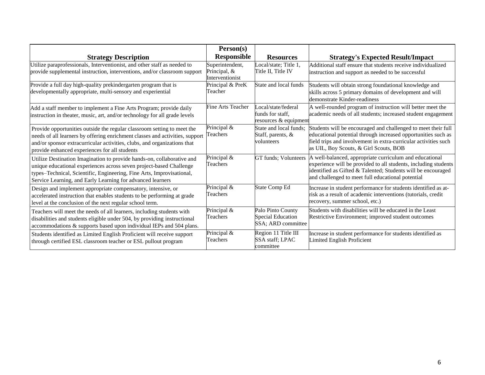|                                                                                                                                                                                                                                                                                      | Person(s)                                          |                                                                     |                                                                                                                                                                                                                                                                        |
|--------------------------------------------------------------------------------------------------------------------------------------------------------------------------------------------------------------------------------------------------------------------------------------|----------------------------------------------------|---------------------------------------------------------------------|------------------------------------------------------------------------------------------------------------------------------------------------------------------------------------------------------------------------------------------------------------------------|
| <b>Strategy Description</b>                                                                                                                                                                                                                                                          | <b>Responsible</b>                                 | <b>Resources</b>                                                    | <b>Strategy's Expected Result/Impact</b>                                                                                                                                                                                                                               |
| Utilize paraprofessionals, Interventionist, and other staff as needed to<br>provide supplemental instruction, interventions, and/or classroom support                                                                                                                                | Superintendent,<br>Principal, &<br>Interventionist | Local/state; Title $1$ ,<br>Title II, Title IV                      | Additional staff ensure that students receive individualized<br>instruction and support as needed to be successful                                                                                                                                                     |
| Provide a full day high-quality prekindergarten program that is<br>developmentally appropriate, multi-sensory and experiential                                                                                                                                                       | Principal & PreK<br>Teacher                        | State and local funds                                               | Students will obtain strong foundational knowledge and<br>skills across 5 primary domains of development and will<br>demonstrate Kinder-readiness                                                                                                                      |
| Add a staff member to implement a Fine Arts Program; provide daily<br>instruction in theater, music, art, and/or technology for all grade levels                                                                                                                                     | <b>Fine Arts Teacher</b>                           | Local/state/federal<br>funds for staff,<br>resources & equipment    | A well-rounded program of instruction will better meet the<br>academic needs of all students; increased student engagement                                                                                                                                             |
| Provide opportunities outside the regular classroom setting to meet the<br>needs of all learners by offering enrichment classes and activities, support<br>and/or sponsor extracurricular activities, clubs, and organizations that<br>provide enhanced experiences for all students | Principal &<br>Teachers                            | State and local funds;<br>Staff, parents, $\&$<br>volunteers        | Students will be encouraged and challenged to meet their full<br>educational potential through increased opportunities such as<br>field trips and involvement in extra-curricular activities such<br>as UIL, Boy Scouts, & Girl Scouts, BOB                            |
| Utilize Destination Imagination to provide hands-on, collaborative and<br>unique educational experiences across seven project-based Challenge<br>types-Technical, Scientific, Engineering, Fine Arts, Improvisational,<br>Service Learning, and Early Learning for advanced learners | Principal &<br>Teachers                            |                                                                     | GT funds; Volunteers   A well-balanced, appropriate curriculum and educational<br>experience will be provided to all students, including students<br>identified as Gifted & Talented; Students will be encouraged<br>and challenged to meet full educational potential |
| Design and implement appropriate compensatory, intensive, or<br>accelerated instruction that enables students to be performing at grade<br>level at the conclusion of the next regular school term.                                                                                  | Principal &<br>Teachers                            | <b>State Comp Ed</b>                                                | Increase in student performance for students identified as at-<br>risk as a result of academic interventions (tutorials, credit<br>recovery, summer school, etc.)                                                                                                      |
| Teachers will meet the needs of all learners, including students with<br>disabilities and students eligible under 504, by providing instructional<br>accommodations & supports based upon individual IEPs and 504 plans.                                                             | Principal &<br>Teachers                            | Palo Pinto County<br><b>Special Education</b><br>SSA; ARD committee | Students with disabilities will be educated in the Least<br>Restrictive Environment; improved student outcomes                                                                                                                                                         |
| Students identified as Limited English Proficient will receive support<br>through certified ESL classroom teacher or ESL pullout program                                                                                                                                             | Principal &<br>Teachers                            | Region 11 Title III<br><b>SSA</b> staff; LPAC<br>committee          | Increase in student performance for students identified as<br>Limited English Proficient                                                                                                                                                                               |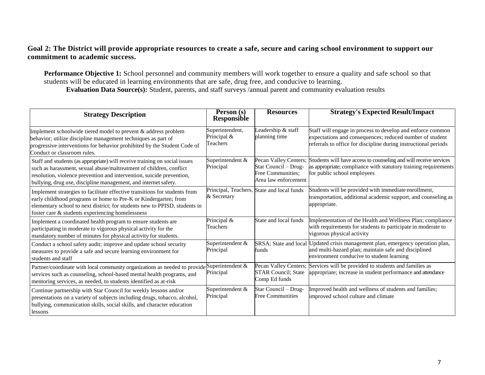#### **Goal 2: The District will provide appropriate resources to create a safe, secure and caring school environment to support our commitment to academic success.**

**Performance Objective 1:** School personnel and community members will work together to ensure a quality and safe school so that students will be educated in learning environments that are safe, drug free, and conducive to learning. **Evaluation Data Source(s):** Student, parents, and staff surveys /annual parent and community evaluation results

| <b>Strategy Description</b>                                                                                                                                                                                                                                                                   | Person (s)<br><b>Responsible</b>           | <b>Resources</b>                                                                           | <b>Strategy's Expected Result/Impact</b>                                                                                                                                                  |
|-----------------------------------------------------------------------------------------------------------------------------------------------------------------------------------------------------------------------------------------------------------------------------------------------|--------------------------------------------|--------------------------------------------------------------------------------------------|-------------------------------------------------------------------------------------------------------------------------------------------------------------------------------------------|
| Implement schoolwide tiered model to prevent & address problem<br>behavior; utilize discipline management techniques as part of<br>progressive interventions for behavior prohibited by the Student Code of<br>Conduct or classroom rules.                                                    | Superintendent,<br>Principal &<br>Teachers | Leadership & staff<br>planning time                                                        | Staff will engage in process to develop and enforce common<br>expectations and consequences; reduced number of student<br>referrals to office for discipline during instructional periods |
| Staff and students (as appropriate) will receive training on social issues<br>such as harassment, sexual abuse/maltreatment of children, conflict<br>resolution, violence prevention and intervention, suicide prevention,<br>bullying, drug use, discipline management, and internet safety. | Superintendent &<br>Principal              | Pecan Valley Centers;<br>Star Council - Drug-<br>Free Communities;<br>Area law enforcement | Students will have access to counseling and will receive services<br>as appropriate; compliance with statutory training requirements<br>for public school employees                       |
| Implement strategies to facilitate effective transitions for students from<br>early childhood programs or home to Pre-K or Kindergarten; from<br>elementary school to next district; for students new to PPISD, students in<br>foster care & students experiencing homelessness               | & Secretary                                | Principal, Teachers, State and local funds                                                 | Students will be provided with immediate enrollment,<br>transportation, additional academic support, and counseling as<br>appropriate.                                                    |
| Implement a coordinated health program to ensure students are<br>participating in moderate to vigorous physical activity for the<br>mandatory number of minutes for physical activity for students.                                                                                           | Principal &<br>Teachers                    | State and local funds                                                                      | Implementation of the Health and Wellness Plan; compliance<br>with requirements for students to participate in moderate to<br>vigorous physical activity                                  |
| Conduct a school safety audit; improve and update school security<br>measures to provide a safe and secure learning environment for<br>students and staff                                                                                                                                     | Superintendent &<br>Principal              | funds                                                                                      | SRSA; State and local Updated crisis management plan, emergency operation plan,<br>and multi-hazard plan; maintain safe and disciplined<br>environment conducive to student learning      |
| Partner/coordinate with local community organizations as needed to provide Superintendent &<br>services such as counseling, school-based mental health programs, and<br>mentoring services, as needed, to students identified as at-risk                                                      | Principal                                  | Pecan Valley Centers;<br><b>STAR Council</b> ; State<br>Comp Ed funds                      | Services will be provided to students and families as<br>appropriate; increase in student performance and attendance                                                                      |
| Continue partnership with Star Council for weekly lessons and/or<br>presentations on a variety of subjects including drugs, tobacco, alcohol,<br>bullying, communication skills, social skills, and character education<br>lessons                                                            | Superintendent &<br>Principal              | Star Council - Drug-<br><b>Free Communities</b>                                            | Improved health and wellness of students and families;<br>improved school culture and climate                                                                                             |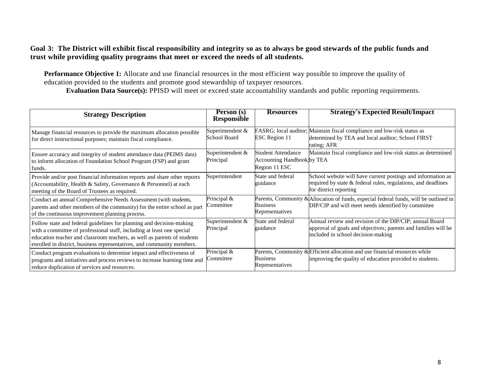#### **Goal 3: The District will exhibit fiscal responsibility and integrity so as to always be good stewards of the public funds and trust while providing quality programs that meet or exceed the needs of all students.**

**Performance Objective 1:** Allocate and use financial resources in the most efficient way possible to improve the quality of education provided to the students and promote good stewardship of taxpayer resources.

**Evaluation Data Source(s):** PPISD will meet or exceed state accountability standards and public reporting requirements.

| <b>Strategy Description</b>                                                                                                                                                                                                                                                                          | Person (s)<br><b>Responsible</b> | <b>Resources</b>                                                         | <b>Strategy's Expected Result/Impact</b>                                                                                                                        |
|------------------------------------------------------------------------------------------------------------------------------------------------------------------------------------------------------------------------------------------------------------------------------------------------------|----------------------------------|--------------------------------------------------------------------------|-----------------------------------------------------------------------------------------------------------------------------------------------------------------|
| Manage financial resources to provide the maximum allocation possible<br>for direct instructional purposes; maintain fiscal compliance.                                                                                                                                                              | Superintendent &<br>School Board | <b>ESC</b> Region 11                                                     | FASRG; local auditor; Maintain fiscal compliance and low-risk status as<br>determined by TEA and local auditor; School FIRST<br>rating; AFR                     |
| Ensure accuracy and integrity of student attendance data (PEIMS data)<br>to inform allocation of Foundation School Program (FSP) and grant<br>funds.                                                                                                                                                 | Superintendent &<br>Principal    | Student Attendance<br><b>Accounting Handbook by TEA</b><br>Region 11 ESC | Maintain fiscal compliance and low-risk status as determined                                                                                                    |
| Provide and/or post financial information reports and share other reports<br>(Accountability, Health & Safety, Governance & Personnel) at each<br>meeting of the Board of Trustees as required.                                                                                                      | Superintendent                   | State and federal<br>guidance                                            | School website will have current postings and information as<br>required by state & federal rules, regulations, and deadlines<br>for district reporting         |
| Conduct an annual Comprehensive Needs Assessment (with students,<br>parents and other members of the community) for the entire school as part<br>of the continuous improvement planning process.                                                                                                     | Principal &<br>Committee         | <b>Business</b><br>Representatives                                       | Parents, Community & Allocation of funds, especial federal funds, will be outlined in<br>DIP/CIP and will meet needs identified by committee                    |
| Follow state and federal guidelines for planning and decision-making<br>with a committee of professional staff, including at least one special<br>education teacher and classroom teachers, as well as parents of students<br>enrolled in district, business representatives, and community members. | Superintendent &<br>Principal    | State and federal<br>guidance                                            | Annual review and revision of the DIP/CIP; annual Board<br>approval of goals and objectives; parents and families will be<br>included in school decision-making |
| Conduct program evaluations to determine impact and effectiveness of<br>programs and initiatives and process reviews to increase learning time and<br>reduce duplication of services and resources.                                                                                                  | Principal &<br>Committee         | <b>Business</b><br>Representatives                                       | Parents, Community & Efficient allocation and use financial resources while<br>improving the quality of education provided to students.                         |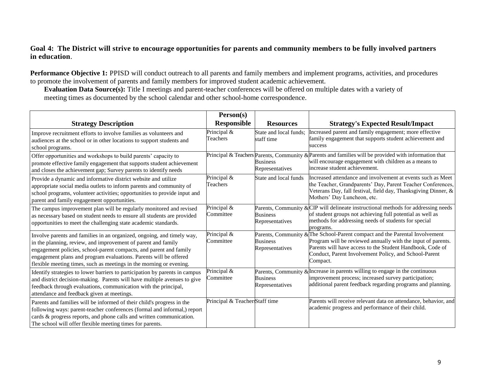#### **Goal 4: The District will strive to encourage opportunities for parents and community members to be fully involved partners in education**.

**Performance Objective 1:** PPISD will conduct outreach to all parents and family members and implement programs, activities, and procedures to promote the involvement of parents and family members for improved student academic achievement.

**Evaluation Data Source(s):** Title I meetings and parent-teacher conferences will be offered on multiple dates with a variety of meeting times as documented by the school calendar and other school-home correspondence.

|                                                                                                                                                                                                                                                                                                                                                           | Person(s)                      |                                      |                                                                                                                                                                                                                                                                               |
|-----------------------------------------------------------------------------------------------------------------------------------------------------------------------------------------------------------------------------------------------------------------------------------------------------------------------------------------------------------|--------------------------------|--------------------------------------|-------------------------------------------------------------------------------------------------------------------------------------------------------------------------------------------------------------------------------------------------------------------------------|
| <b>Strategy Description</b>                                                                                                                                                                                                                                                                                                                               | <b>Responsible</b>             | <b>Resources</b>                     | <b>Strategy's Expected Result/Impact</b>                                                                                                                                                                                                                                      |
| Improve recruitment efforts to involve families as volunteers and<br>audiences at the school or in other locations to support students and<br>school programs.                                                                                                                                                                                            | Principal &<br>Teachers        | State and local funds:<br>staff time | Increased parent and family engagement; more effective<br>family engagement that supports student achievement and<br>success                                                                                                                                                  |
| Offer opportunities and workshops to build parents' capacity to<br>promote effective family engagement that supports student achievement<br>and closes the achievement gap; Survey parents to identify needs                                                                                                                                              |                                | <b>Business</b><br>Representatives   | Principal & Teachers Parents, Community & Parents and families will be provided with information that<br>will encourage engagement with children as a means to<br>increase student achievement.                                                                               |
| Provide a dynamic and informative district website and utilize<br>appropriate social media outlets to inform parents and community of<br>school programs, volunteer activities; opportunities to provide input and<br>parent and family engagement opportunities.                                                                                         | Principal &<br>Teachers        | State and local funds                | Increased attendance and involvement at events such as Meet<br>the Teacher, Grandparents' Day, Parent Teacher Conferences,<br>Veterans Day, fall festival, field day, Thanksgiving Dinner, &<br>Mothers' Day Luncheon, etc.                                                   |
| The campus improvement plan will be regularly monitored and revised<br>as necessary based on student needs to ensure all students are provided<br>opportunities to meet the challenging state academic standards.                                                                                                                                         | Principal &<br>Committee       | <b>Business</b><br>Representatives   | Parents, Community & $CIP$ will delineate instructional methods for addressing needs<br>of student groups not achieving full potential as well as<br>methods for addressing needs of students for special<br>programs.                                                        |
| Involve parents and families in an organized, ongoing, and timely way,<br>in the planning, review, and improvement of parent and family<br>engagement policies, school-parent compacts, and parent and family<br>engagement plans and program evaluations. Parents will be offered<br>flexible meeting times, such as meetings in the morning or evening. | Principal &<br>Committee       | <b>Business</b><br>Representatives   | Parents, Community & The School-Parent compact and the Parental Involvement<br>Program will be reviewed annually with the input of parents.<br>Parents will have access to the Student Handbook, Code of<br>Conduct, Parent Involvement Policy, and School-Parent<br>Compact. |
| Identify strategies to lower barriers to participation by parents in campus<br>and district decision-making. Parents will have multiple avenues to give<br>feedback through evaluations, communication with the principal,<br>attendance and feedback given at meetings.                                                                                  | Principal &<br>Committee       | <b>Business</b><br>Representatives   | Parents, Community & Increase in parents willing to engage in the continuous<br>improvement process; increased survey participation;<br>additional parent feedback regarding programs and planning.                                                                           |
| Parents and families will be informed of their child's progress in the<br>following ways: parent-teacher conferences (formal and informal,) report<br>cards & progress reports, and phone calls and written communication.<br>The school will offer flexible meeting times for parents.                                                                   | Principal & Teacher Staff time |                                      | Parents will receive relevant data on attendance, behavior, and<br>academic progress and performance of their child.                                                                                                                                                          |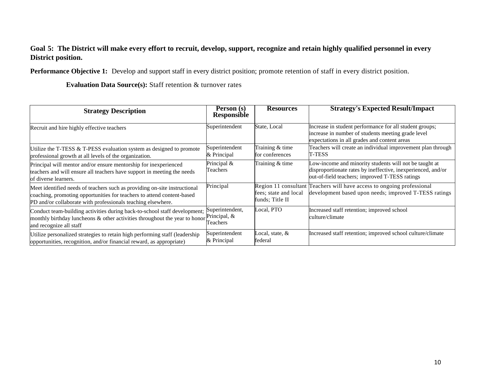### **Goal 5: The District will make every effort to recruit, develop, support, recognize and retain highly qualified personnel in every District position.**

**Performance Objective 1:** Develop and support staff in every district position; promote retention of staff in every district position.

**Evaluation Data Source(s):** Staff retention & turnover rates

| <b>Strategy Description</b>                                                                                                                                                                                         | Person (s)<br>Responsible                   | <b>Resources</b>                         | <b>Strategy's Expected Result/Impact</b>                                                                                                                                 |
|---------------------------------------------------------------------------------------------------------------------------------------------------------------------------------------------------------------------|---------------------------------------------|------------------------------------------|--------------------------------------------------------------------------------------------------------------------------------------------------------------------------|
| Recruit and hire highly effective teachers                                                                                                                                                                          | Superintendent                              | State, Local                             | Increase in student performance for all student groups;<br>increase in number of students meeting grade level<br>expectations in all grades and content areas            |
| Utilize the T-TESS $&$ T-PESS evaluation system as designed to promote<br>professional growth at all levels of the organization.                                                                                    | Superintendent<br>& Principal               | Training & time<br>for conferences       | Teachers will create an individual improvement plan through<br>T-TESS                                                                                                    |
| Principal will mentor and/or ensure mentorship for inexperienced<br>teachers and will ensure all teachers have support in meeting the needs<br>of diverse learners.                                                 | Principal &<br>Teachers                     | Training & time                          | Low-income and minority students will not be taught at<br>disproportionate rates by ineffective, inexperienced, and/or<br>out-of-field teachers; improved T-TESS ratings |
| Meet identified needs of teachers such as providing on-site instructional<br>coaching, promoting opportunities for teachers to attend content-based<br>PD and/or collaborate with professionals teaching elsewhere. | Principal                                   | fees; state and local<br>funds: Title II | Region 11 consultant Teachers will have access to ongoing professional<br>development based upon needs; improved T-TESS ratings                                          |
| Conduct team-building activities during back-to-school staff development;<br>monthly birthday luncheons $\&$ other activities throughout the year to honor<br>and recognize all staff                               | Superintendent,<br>Principal, &<br>Feachers | Local, PTO                               | Increased staff retention; improved school<br>culture/climate                                                                                                            |
| Utilize personalized strategies to retain high performing staff (leadership<br>opportunities, recognition, and/or financial reward, as appropriate)                                                                 | Superintendent<br>& Principal               | Local, state, &<br>federal               | Increased staff retention; improved school culture/climate                                                                                                               |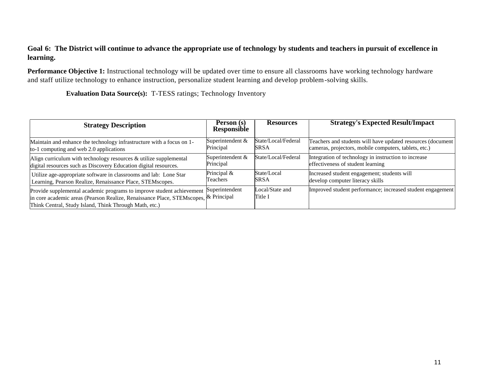#### **Goal 6: The District will continue to advance the appropriate use of technology by students and teachers in pursuit of excellence in learning.**

**Performance Objective 1:** Instructional technology will be updated over time to ensure all classrooms have working technology hardware and staff utilize technology to enhance instruction, personalize student learning and develop problem-solving skills.

**Evaluation Data Source(s):** T-TESS ratings; Technology Inventory

| <b>Strategy Description</b>                                                                                                                                                                                            | Person (s)<br><b>Responsible</b> | <b>Resources</b>           | <b>Strategy's Expected Result/Impact</b>                    |
|------------------------------------------------------------------------------------------------------------------------------------------------------------------------------------------------------------------------|----------------------------------|----------------------------|-------------------------------------------------------------|
| Maintain and enhance the technology infrastructure with a focus on 1-                                                                                                                                                  | Superintendent &                 | State/Local/Federal        | Teachers and students will have updated resources (document |
| to-1 computing and web 2.0 applications                                                                                                                                                                                | Principal                        | <b>SRSA</b>                | cameras, projectors, mobile computers, tablets, etc.)       |
| Align curriculum with technology resources $\&$ utilize supplemental                                                                                                                                                   | Superintendent &                 | State/Local/Federal        | Integration of technology in instruction to increase        |
| digital resources such as Discovery Education digital resources.                                                                                                                                                       | Principal                        |                            | effectiveness of student learning                           |
| Utilize age-appropriate software in classrooms and lab: Lone Star                                                                                                                                                      | Principal &                      | State/Local                | Increased student engagement; students will                 |
| Learning, Pearson Realize, Renaissance Place, STEMscopes.                                                                                                                                                              | Teachers                         | <b>SRSA</b>                | develop computer literacy skills                            |
| Provide supplemental academic programs to improve student achievement<br>in core academic areas (Pearson Realize, Renaissance Place, STEMscopes, & Principal<br>Think Central, Study Island, Think Through Math, etc.) | Superintendent                   | Local/State and<br>Title I | Improved student performance; increased student engagement  |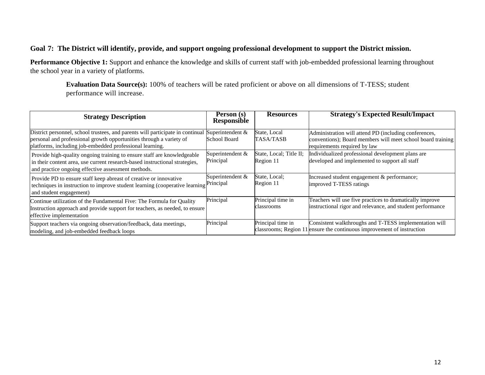#### **Goal 7: The District will identify, provide, and support ongoing professional development to support the District mission.**

**Performance Objective 1:** Support and enhance the knowledge and skills of current staff with job-embedded professional learning throughout the school year in a variety of platforms.

**Evaluation Data Source(s):** 100% of teachers will be rated proficient or above on all dimensions of T-TESS; student performance will increase.

| <b>Strategy Description</b>                                                                                                                                                                                       | Person (s)<br><b>Responsible</b> | <b>Resources</b>                     | <b>Strategy's Expected Result/Impact</b>                                                                                                             |
|-------------------------------------------------------------------------------------------------------------------------------------------------------------------------------------------------------------------|----------------------------------|--------------------------------------|------------------------------------------------------------------------------------------------------------------------------------------------------|
| District personnel, school trustees, and parents will participate in continual<br>personal and professional growth opportunities through a variety of<br>platforms, including job-embedded professional learning. | Superintendent &<br>School Board | State, Local<br>TASA/TASB            | Administration will attend PD (including conferences,<br>conventions); Board members will meet school board training<br>requirements required by law |
| Provide high-quality ongoing training to ensure staff are knowledgeable<br>in their content area, use current research-based instructional strategies,<br>and practice ongoing effective assessment methods.      | Superintendent &<br>Principal    | State, Local; Title II;<br>Region 11 | Individualized professional development plans are<br>developed and implemented to support all staff                                                  |
| Provide PD to ensure staff keep abreast of creative or innovative<br>techniques in instruction to improve student learning (cooperative learning <sup>th</sup><br>and student engagement)                         | Superintendent &<br>Principal    | State, Local;<br>Region 11           | Increased student engagement & performance;<br>improved T-TESS ratings                                                                               |
| Continue utilization of the Fundamental Five: The Formula for Quality<br>Instruction approach and provide support for teachers, as needed, to ensure<br>effective implementation                                  | Principal                        | Principal time in<br>classrooms      | Teachers will use five practices to dramatically improve<br>instructional rigor and relevance, and student performance                               |
| Support teachers via ongoing observation/feedback, data meetings,<br>modeling, and job-embedded feedback loops                                                                                                    | Principal                        | Principal time in                    | Consistent walkthroughs and T-TESS implementation will<br>classrooms; Region 11 ensure the continuous improvement of instruction                     |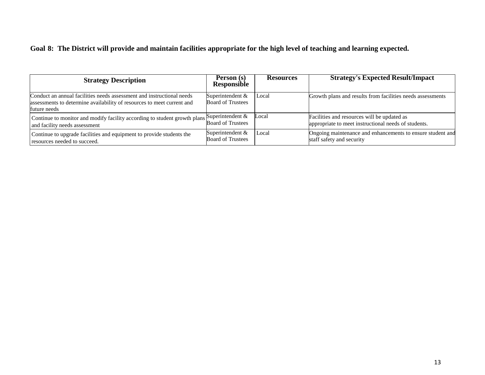## **Goal 8: The District will provide and maintain facilities appropriate for the high level of teaching and learning expected.**

| <b>Strategy Description</b>                                                                                                                                     | Person (s)<br><b>Responsible</b>               | <b>Resources</b> | <b>Strategy's Expected Result/Impact</b>                                                            |
|-----------------------------------------------------------------------------------------------------------------------------------------------------------------|------------------------------------------------|------------------|-----------------------------------------------------------------------------------------------------|
| Conduct an annual facilities needs assessment and instructional needs<br>assessments to determine availability of resources to meet current and<br>future needs | Superintendent $&$<br><b>Board of Trustees</b> | Local            | Growth plans and results from facilities needs assessments                                          |
| Continue to monitor and modify facility according to student growth plans Superintendent $\&$<br>and facility needs assessment                                  | <b>Board of Trustees</b>                       | Local            | Facilities and resources will be updated as<br>appropriate to meet instructional needs of students. |
| Continue to upgrade facilities and equipment to provide students the<br>resources needed to succeed.                                                            | Superintendent $&$<br><b>Board of Trustees</b> | Local            | Ongoing maintenance and enhancements to ensure student and<br>staff safety and security             |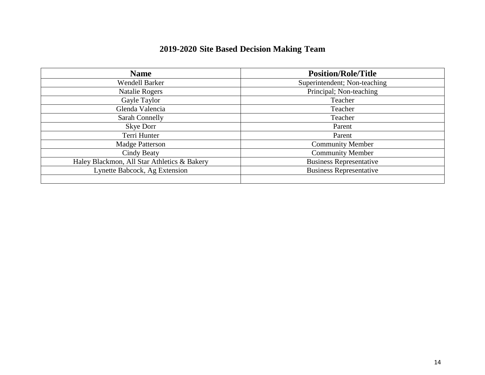| 2019-2020 Site Based Decision Making Team |  |  |  |  |  |
|-------------------------------------------|--|--|--|--|--|
|-------------------------------------------|--|--|--|--|--|

| <b>Name</b>                                 | <b>Position/Role/Title</b>     |
|---------------------------------------------|--------------------------------|
| <b>Wendell Barker</b>                       | Superintendent; Non-teaching   |
| <b>Natalie Rogers</b>                       | Principal; Non-teaching        |
| Gayle Taylor                                | Teacher                        |
| Glenda Valencia                             | Teacher                        |
| Sarah Connelly                              | Teacher                        |
| Skye Dorr                                   | Parent                         |
| Terri Hunter                                | Parent                         |
| <b>Madge Patterson</b>                      | <b>Community Member</b>        |
| Cindy Beaty                                 | <b>Community Member</b>        |
| Haley Blackmon, All Star Athletics & Bakery | <b>Business Representative</b> |
| Lynette Babcock, Ag Extension               | <b>Business Representative</b> |
|                                             |                                |